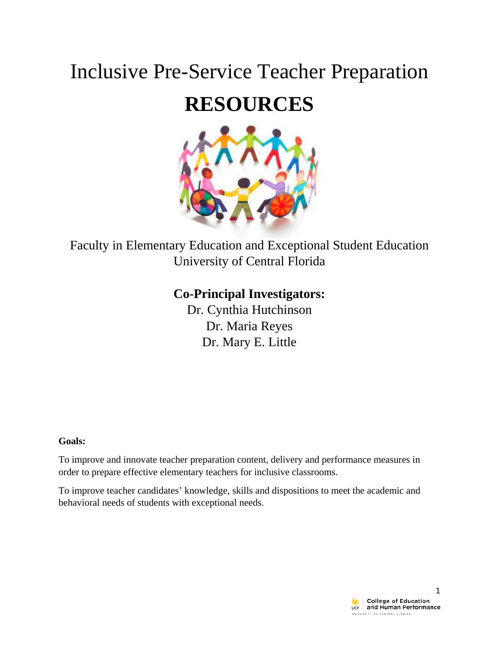# Inclusive Pre-Service Teacher Preparation

# **RESOURCES**



Faculty in Elementary Education and Exceptional Student Education University of Central Florida

## **Co-Principal Investigators:**

Dr. Cynthia Hutchinson Dr. Maria Reyes Dr. Mary E. Little

#### **Goals:**

To improve and innovate teacher preparation content, delivery and performance measures in order to prepare effective elementary teachers for inclusive classrooms.

To improve teacher candidates' knowledge, skills and dispositions to meet the academic and behavioral needs of students with exceptional needs.

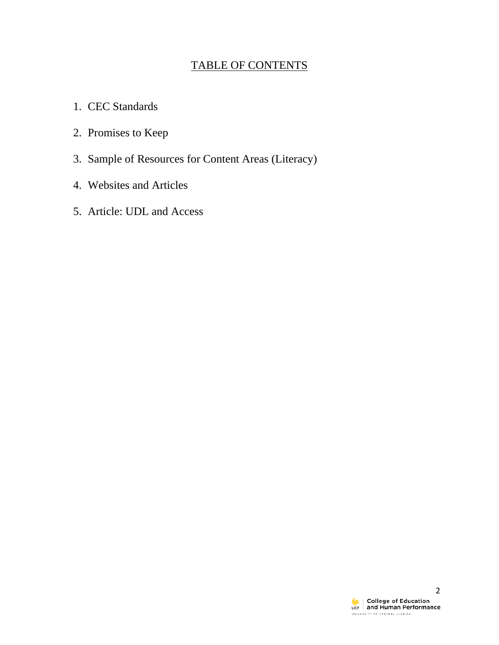#### TABLE OF CONTENTS

- 1. CEC Standards
- 2. Promises to Keep
- 3. Sample of Resources for Content Areas (Literacy)
- 4. Websites and Articles
- 5. Article: UDL and Access

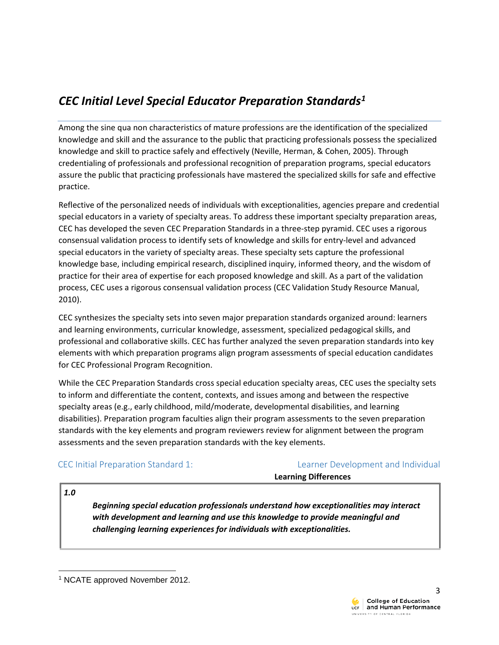## *CEC Initial Level Special Educator Preparation Standard[s1](#page-2-0)*

Among the sine qua non characteristics of mature professions are the identification of the specialized knowledge and skill and the assurance to the public that practicing professionals possess the specialized knowledge and skill to practice safely and effectively (Neville, Herman, & Cohen, 2005). Through credentialing of professionals and professional recognition of preparation programs, special educators assure the public that practicing professionals have mastered the specialized skills for safe and effective practice.

Reflective of the personalized needs of individuals with exceptionalities, agencies prepare and credential special educators in a variety of specialty areas. To address these important specialty preparation areas, CEC has developed the seven CEC Preparation Standards in a three-step pyramid. CEC uses a rigorous consensual validation process to identify sets of knowledge and skills for entry-level and advanced special educators in the variety of specialty areas. These specialty sets capture the professional knowledge base, including empirical research, disciplined inquiry, informed theory, and the wisdom of practice for their area of expertise for each proposed knowledge and skill. As a part of the validation process, CEC uses a rigorous consensual validation process (CEC Validation Study Resource Manual, 2010).

CEC synthesizes the specialty sets into seven major preparation standards organized around: learners and learning environments, curricular knowledge, assessment, specialized pedagogical skills, and professional and collaborative skills. CEC has further analyzed the seven preparation standards into key elements with which preparation programs align program assessments of special education candidates for CEC Professional Program Recognition.

While the CEC Preparation Standards cross special education specialty areas, CEC uses the specialty sets to inform and differentiate the content, contexts, and issues among and between the respective specialty areas (e.g., early childhood, mild/moderate, developmental disabilities, and learning disabilities). Preparation program faculties align their program assessments to the seven preparation standards with the key elements and program reviewers review for alignment between the program assessments and the seven preparation standards with the key elements.

#### CEC Initial Preparation Standard 1: Learner Development and Individual **Learning Differences**

*1.0* 

 $\overline{a}$ 

*Beginning special education professionals understand how exceptionalities may interact with development and learning and use this knowledge to provide meaningful and challenging learning experiences for individuals with exceptionalities.* 



<span id="page-2-0"></span><sup>1</sup> NCATE approved November 2012.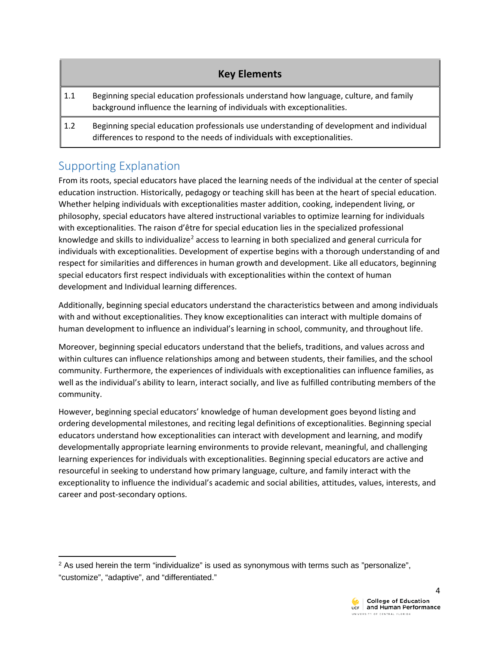#### **Key Elements**

- 1.1 Beginning special education professionals understand how language, culture, and family background influence the learning of individuals with exceptionalities.
- 1.2 Beginning special education professionals use understanding of development and individual differences to respond to the needs of individuals with exceptionalities.

### Supporting Explanation

From its roots, special educators have placed the learning needs of the individual at the center of special education instruction. Historically, pedagogy or teaching skill has been at the heart of special education. Whether helping individuals with exceptionalities master addition, cooking, independent living, or philosophy, special educators have altered instructional variables to optimize learning for individuals with exceptionalities. The raison d'être for special education lies in the specialized professional knowledge and skills to individualize<sup>[2](#page-3-0)</sup> access to learning in both specialized and general curricula for individuals with exceptionalities. Development of expertise begins with a thorough understanding of and respect for similarities and differences in human growth and development. Like all educators, beginning special educators first respect individuals with exceptionalities within the context of human development and Individual learning differences.

Additionally, beginning special educators understand the characteristics between and among individuals with and without exceptionalities. They know exceptionalities can interact with multiple domains of human development to influence an individual's learning in school, community, and throughout life.

Moreover, beginning special educators understand that the beliefs, traditions, and values across and within cultures can influence relationships among and between students, their families, and the school community. Furthermore, the experiences of individuals with exceptionalities can influence families, as well as the individual's ability to learn, interact socially, and live as fulfilled contributing members of the community.

However, beginning special educators' knowledge of human development goes beyond listing and ordering developmental milestones, and reciting legal definitions of exceptionalities. Beginning special educators understand how exceptionalities can interact with development and learning, and modify developmentally appropriate learning environments to provide relevant, meaningful, and challenging learning experiences for individuals with exceptionalities. Beginning special educators are active and resourceful in seeking to understand how primary language, culture, and family interact with the exceptionality to influence the individual's academic and social abilities, attitudes, values, interests, and career and post-secondary options.

<span id="page-3-0"></span><sup>&</sup>lt;u>.</u>  $2$  As used herein the term "individualize" is used as synonymous with terms such as "personalize", "customize", "adaptive", and "differentiated."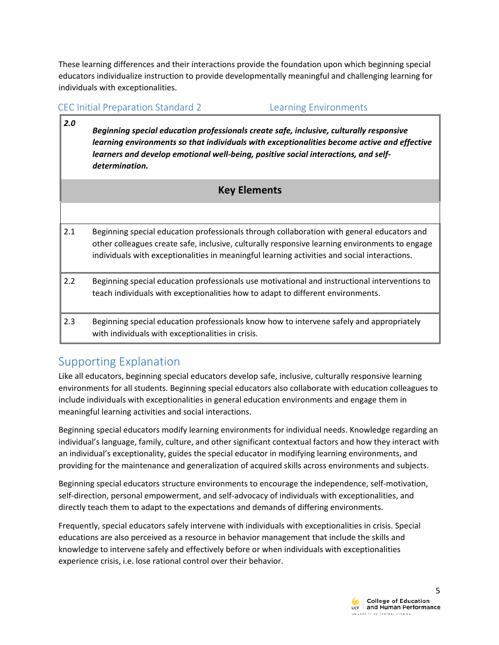These learning differences and their interactions provide the foundation upon which beginning special educators individualize instruction to provide developmentally meaningful and challenging learning for individuals with exceptionalities.

#### CEC Initial Preparation Standard 2 Learning Environments

*2.0 Beginning special education professionals create safe, inclusive, culturally responsive learning environments so that individuals with exceptionalities become active and effective learners and develop emotional well-being, positive social interactions, and selfdetermination.* 

#### **Key Elements**

- 2.1 Beginning special education professionals through collaboration with general educators and other colleagues create safe, inclusive, culturally responsive learning environments to engage individuals with exceptionalities in meaningful learning activities and social interactions.
- 2.2 Beginning special education professionals use motivational and instructional interventions to teach individuals with exceptionalities how to adapt to different environments.
- 2.3 Beginning special education professionals know how to intervene safely and appropriately with individuals with exceptionalities in crisis.

#### Supporting Explanation

Like all educators, beginning special educators develop safe, inclusive, culturally responsive learning environments for all students. Beginning special educators also collaborate with education colleagues to include individuals with exceptionalities in general education environments and engage them in meaningful learning activities and social interactions.

Beginning special educators modify learning environments for individual needs. Knowledge regarding an individual's language, family, culture, and other significant contextual factors and how they interact with an individual's exceptionality, guides the special educator in modifying learning environments, and providing for the maintenance and generalization of acquired skills across environments and subjects.

Beginning special educators structure environments to encourage the independence, self-motivation, self-direction, personal empowerment, and self-advocacy of individuals with exceptionalities, and directly teach them to adapt to the expectations and demands of differing environments.

Frequently, special educators safely intervene with individuals with exceptionalities in crisis. Special educations are also perceived as a resource in behavior management that include the skills and knowledge to intervene safely and effectively before or when individuals with exceptionalities experience crisis, i.e. lose rational control over their behavior.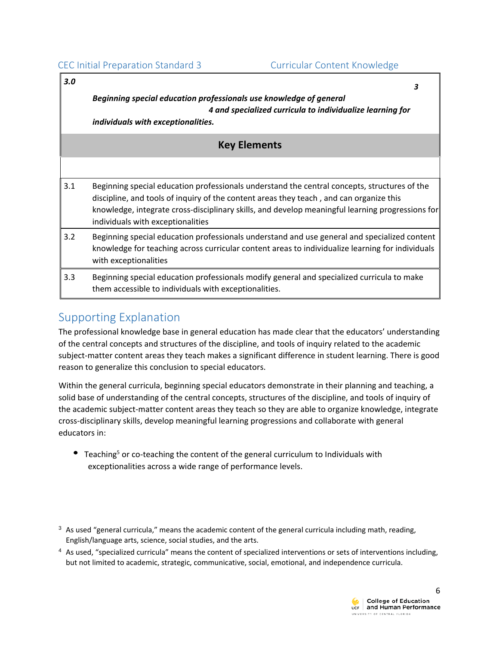#### CEC Initial Preparation Standard 3 Curricular Content Knowledge

| 3.0 | 3<br>Beginning special education professionals use knowledge of general<br>4 and specialized curricula to individualize learning for<br>individuals with exceptionalities.                                                                                                                                                       |
|-----|----------------------------------------------------------------------------------------------------------------------------------------------------------------------------------------------------------------------------------------------------------------------------------------------------------------------------------|
|     | <b>Key Elements</b>                                                                                                                                                                                                                                                                                                              |
|     |                                                                                                                                                                                                                                                                                                                                  |
| 3.1 | Beginning special education professionals understand the central concepts, structures of the<br>discipline, and tools of inquiry of the content areas they teach, and can organize this<br>knowledge, integrate cross-disciplinary skills, and develop meaningful learning progressions for<br>individuals with exceptionalities |
| 3.2 | Beginning special education professionals understand and use general and specialized content<br>knowledge for teaching across curricular content areas to individualize learning for individuals<br>with exceptionalities                                                                                                        |
| 3.3 | Beginning special education professionals modify general and specialized curricula to make<br>them accessible to individuals with exceptionalities.                                                                                                                                                                              |

#### Supporting Explanation

The professional knowledge base in general education has made clear that the educators' understanding of the central concepts and structures of the discipline, and tools of inquiry related to the academic subject-matter content areas they teach makes a significant difference in student learning. There is good reason to generalize this conclusion to special educators.

Within the general curricula, beginning special educators demonstrate in their planning and teaching, a solid base of understanding of the central concepts, structures of the discipline, and tools of inquiry of the academic subject-matter content areas they teach so they are able to organize knowledge, integrate cross-disciplinary skills, develop meaningful learning progressions and collaborate with general educators in:

• Teaching<sup>5</sup> or co-teaching the content of the general curriculum to Individuals with exceptionalities across a wide range of performance levels.

<sup>4</sup> As used, "specialized curricula" means the content of specialized interventions or sets of interventions including, but not limited to academic, strategic, communicative, social, emotional, and independence curricula.

 $3$  As used "general curricula," means the academic content of the general curricula including math, reading, English/language arts, science, social studies, and the arts.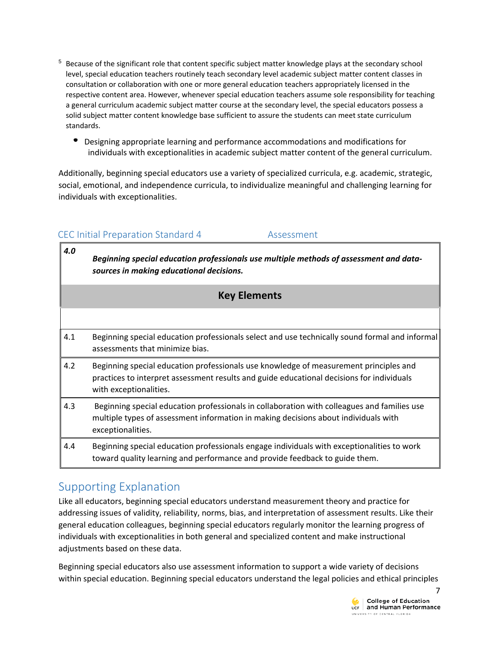- <sup>5</sup> Because of the significant role that content specific subject matter knowledge plays at the secondary school level, special education teachers routinely teach secondary level academic subject matter content classes in consultation or collaboration with one or more general education teachers appropriately licensed in the respective content area. However, whenever special education teachers assume sole responsibility for teaching a general curriculum academic subject matter course at the secondary level, the special educators possess a solid subject matter content knowledge base sufficient to assure the students can meet state curriculum standards.
	- Designing appropriate learning and performance accommodations and modifications for individuals with exceptionalities in academic subject matter content of the general curriculum.

Additionally, beginning special educators use a variety of specialized curricula, e.g. academic, strategic, social, emotional, and independence curricula, to individualize meaningful and challenging learning for individuals with exceptionalities.

#### CEC Initial Preparation Standard 4 Assessment

*4.0* 

*Beginning special education professionals use multiple methods of assessment and datasources in making educational decisions.* 

|     | <b>Key Elements</b>                                                                                                                                                                                          |
|-----|--------------------------------------------------------------------------------------------------------------------------------------------------------------------------------------------------------------|
|     |                                                                                                                                                                                                              |
| 4.1 | Beginning special education professionals select and use technically sound formal and informal<br>assessments that minimize bias.                                                                            |
| 4.2 | Beginning special education professionals use knowledge of measurement principles and<br>practices to interpret assessment results and guide educational decisions for individuals<br>with exceptionalities. |
| 4.3 | Beginning special education professionals in collaboration with colleagues and families use<br>multiple types of assessment information in making decisions about individuals with<br>exceptionalities.      |
| 4.4 | Beginning special education professionals engage individuals with exceptionalities to work<br>toward quality learning and performance and provide feedback to guide them.                                    |

### Supporting Explanation

Like all educators, beginning special educators understand measurement theory and practice for addressing issues of validity, reliability, norms, bias, and interpretation of assessment results. Like their general education colleagues, beginning special educators regularly monitor the learning progress of individuals with exceptionalities in both general and specialized content and make instructional adjustments based on these data.

Beginning special educators also use assessment information to support a wide variety of decisions within special education. Beginning special educators understand the legal policies and ethical principles

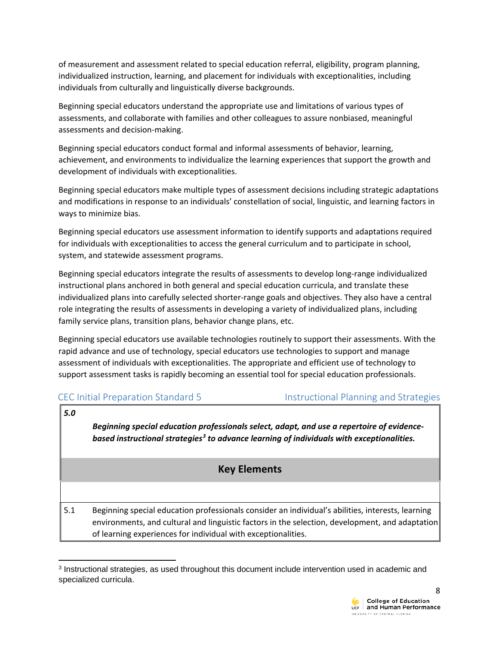of measurement and assessment related to special education referral, eligibility, program planning, individualized instruction, learning, and placement for individuals with exceptionalities, including individuals from culturally and linguistically diverse backgrounds.

Beginning special educators understand the appropriate use and limitations of various types of assessments, and collaborate with families and other colleagues to assure nonbiased, meaningful assessments and decision-making.

Beginning special educators conduct formal and informal assessments of behavior, learning, achievement, and environments to individualize the learning experiences that support the growth and development of individuals with exceptionalities.

Beginning special educators make multiple types of assessment decisions including strategic adaptations and modifications in response to an individuals' constellation of social, linguistic, and learning factors in ways to minimize bias.

Beginning special educators use assessment information to identify supports and adaptations required for individuals with exceptionalities to access the general curriculum and to participate in school, system, and statewide assessment programs.

Beginning special educators integrate the results of assessments to develop long-range individualized instructional plans anchored in both general and special education curricula, and translate these individualized plans into carefully selected shorter-range goals and objectives. They also have a central role integrating the results of assessments in developing a variety of individualized plans, including family service plans, transition plans, behavior change plans, etc.

Beginning special educators use available technologies routinely to support their assessments. With the rapid advance and use of technology, special educators use technologies to support and manage assessment of individuals with exceptionalities. The appropriate and efficient use of technology to support assessment tasks is rapidly becoming an essential tool for special education professionals.

<u>.</u>

#### CEC Initial Preparation Standard 5 Instructional Planning and Strategies

| 5.0 | Beginning special education professionals select, adapt, and use a repertoire of evidence-<br>based instructional strategies <sup>3</sup> to advance learning of individuals with exceptionalities.                                                                   |
|-----|-----------------------------------------------------------------------------------------------------------------------------------------------------------------------------------------------------------------------------------------------------------------------|
|     | <b>Key Elements</b>                                                                                                                                                                                                                                                   |
|     |                                                                                                                                                                                                                                                                       |
| 5.1 | Beginning special education professionals consider an individual's abilities, interests, learning<br>environments, and cultural and linguistic factors in the selection, development, and adaptation<br>of learning experiences for individual with exceptionalities. |

<span id="page-7-0"></span><sup>3</sup> Instructional strategies, as used throughout this document include intervention used in academic and specialized curricula.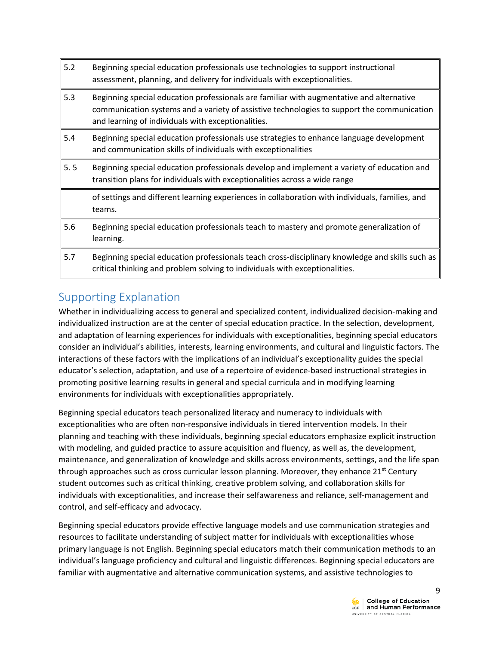| 5.2 | Beginning special education professionals use technologies to support instructional<br>assessment, planning, and delivery for individuals with exceptionalities.                                                                             |
|-----|----------------------------------------------------------------------------------------------------------------------------------------------------------------------------------------------------------------------------------------------|
| 5.3 | Beginning special education professionals are familiar with augmentative and alternative<br>communication systems and a variety of assistive technologies to support the communication<br>and learning of individuals with exceptionalities. |
| 5.4 | Beginning special education professionals use strategies to enhance language development<br>and communication skills of individuals with exceptionalities                                                                                    |
| 5.5 | Beginning special education professionals develop and implement a variety of education and<br>transition plans for individuals with exceptionalities across a wide range                                                                     |
|     | of settings and different learning experiences in collaboration with individuals, families, and<br>teams.                                                                                                                                    |
| 5.6 | Beginning special education professionals teach to mastery and promote generalization of<br>learning.                                                                                                                                        |
| 5.7 | Beginning special education professionals teach cross-disciplinary knowledge and skills such as<br>critical thinking and problem solving to individuals with exceptionalities.                                                               |

### Supporting Explanation

Whether in individualizing access to general and specialized content, individualized decision-making and individualized instruction are at the center of special education practice. In the selection, development, and adaptation of learning experiences for individuals with exceptionalities, beginning special educators consider an individual's abilities, interests, learning environments, and cultural and linguistic factors. The interactions of these factors with the implications of an individual's exceptionality guides the special educator's selection, adaptation, and use of a repertoire of evidence-based instructional strategies in promoting positive learning results in general and special curricula and in modifying learning environments for individuals with exceptionalities appropriately.

Beginning special educators teach personalized literacy and numeracy to individuals with exceptionalities who are often non-responsive individuals in tiered intervention models. In their planning and teaching with these individuals, beginning special educators emphasize explicit instruction with modeling, and guided practice to assure acquisition and fluency, as well as, the development, maintenance, and generalization of knowledge and skills across environments, settings, and the life span through approaches such as cross curricular lesson planning. Moreover, they enhance  $21^{st}$  Century student outcomes such as critical thinking, creative problem solving, and collaboration skills for individuals with exceptionalities, and increase their selfawareness and reliance, self-management and control, and self-efficacy and advocacy.

Beginning special educators provide effective language models and use communication strategies and resources to facilitate understanding of subject matter for individuals with exceptionalities whose primary language is not English. Beginning special educators match their communication methods to an individual's language proficiency and cultural and linguistic differences. Beginning special educators are familiar with augmentative and alternative communication systems, and assistive technologies to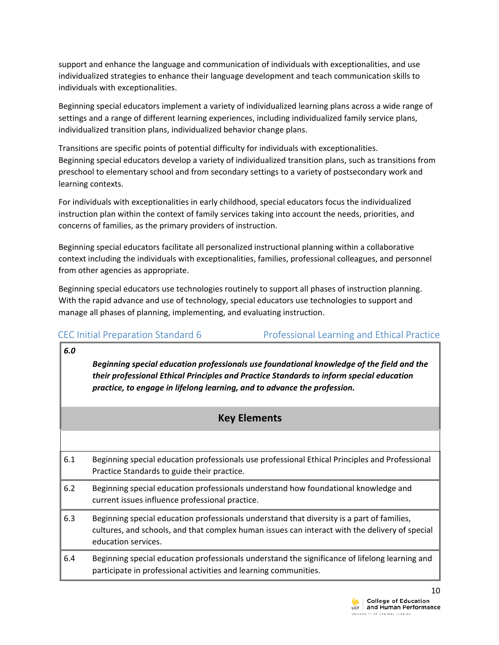support and enhance the language and communication of individuals with exceptionalities, and use individualized strategies to enhance their language development and teach communication skills to individuals with exceptionalities.

Beginning special educators implement a variety of individualized learning plans across a wide range of settings and a range of different learning experiences, including individualized family service plans, individualized transition plans, individualized behavior change plans.

Transitions are specific points of potential difficulty for individuals with exceptionalities. Beginning special educators develop a variety of individualized transition plans, such as transitions from preschool to elementary school and from secondary settings to a variety of postsecondary work and learning contexts.

For individuals with exceptionalities in early childhood, special educators focus the individualized instruction plan within the context of family services taking into account the needs, priorities, and concerns of families, as the primary providers of instruction.

Beginning special educators facilitate all personalized instructional planning within a collaborative context including the individuals with exceptionalities, families, professional colleagues, and personnel from other agencies as appropriate.

Beginning special educators use technologies routinely to support all phases of instruction planning. With the rapid advance and use of technology, special educators use technologies to support and manage all phases of planning, implementing, and evaluating instruction.

CEC Initial Preparation Standard 6 **Professional Learning and Ethical Practice** 

| ۰.<br>I<br>$-$<br>$-$ |
|-----------------------|
|-----------------------|

*Beginning special education professionals use foundational knowledge of the field and the their professional Ethical Principles and Practice Standards to inform special education practice, to engage in lifelong learning, and to advance the profession.* 

|     | <b>Key Elements</b>                                                                                                                                                                                                 |
|-----|---------------------------------------------------------------------------------------------------------------------------------------------------------------------------------------------------------------------|
|     |                                                                                                                                                                                                                     |
| 6.1 | Beginning special education professionals use professional Ethical Principles and Professional<br>Practice Standards to guide their practice.                                                                       |
| 6.2 | Beginning special education professionals understand how foundational knowledge and<br>current issues influence professional practice.                                                                              |
| 6.3 | Beginning special education professionals understand that diversity is a part of families,<br>cultures, and schools, and that complex human issues can interact with the delivery of special<br>education services. |
| 6.4 | Beginning special education professionals understand the significance of lifelong learning and<br>participate in professional activities and learning communities.                                                  |

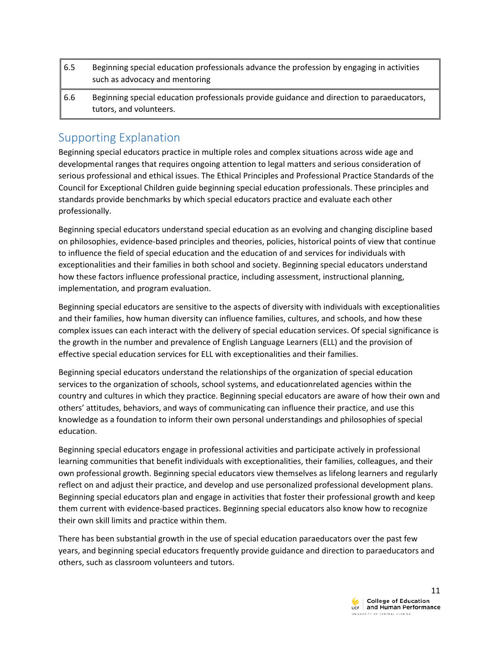- 6.5 Beginning special education professionals advance the profession by engaging in activities such as advocacy and mentoring
- 6.6 Beginning special education professionals provide guidance and direction to paraeducators, tutors, and volunteers.

#### Supporting Explanation

Beginning special educators practice in multiple roles and complex situations across wide age and developmental ranges that requires ongoing attention to legal matters and serious consideration of serious professional and ethical issues. The Ethical Principles and Professional Practice Standards of the Council for Exceptional Children guide beginning special education professionals. These principles and standards provide benchmarks by which special educators practice and evaluate each other professionally.

Beginning special educators understand special education as an evolving and changing discipline based on philosophies, evidence-based principles and theories, policies, historical points of view that continue to influence the field of special education and the education of and services for individuals with exceptionalities and their families in both school and society. Beginning special educators understand how these factors influence professional practice, including assessment, instructional planning, implementation, and program evaluation.

Beginning special educators are sensitive to the aspects of diversity with individuals with exceptionalities and their families, how human diversity can influence families, cultures, and schools, and how these complex issues can each interact with the delivery of special education services. Of special significance is the growth in the number and prevalence of English Language Learners (ELL) and the provision of effective special education services for ELL with exceptionalities and their families.

Beginning special educators understand the relationships of the organization of special education services to the organization of schools, school systems, and educationrelated agencies within the country and cultures in which they practice. Beginning special educators are aware of how their own and others' attitudes, behaviors, and ways of communicating can influence their practice, and use this knowledge as a foundation to inform their own personal understandings and philosophies of special education.

Beginning special educators engage in professional activities and participate actively in professional learning communities that benefit individuals with exceptionalities, their families, colleagues, and their own professional growth. Beginning special educators view themselves as lifelong learners and regularly reflect on and adjust their practice, and develop and use personalized professional development plans. Beginning special educators plan and engage in activities that foster their professional growth and keep them current with evidence-based practices. Beginning special educators also know how to recognize their own skill limits and practice within them.

There has been substantial growth in the use of special education paraeducators over the past few years, and beginning special educators frequently provide guidance and direction to paraeducators and others, such as classroom volunteers and tutors.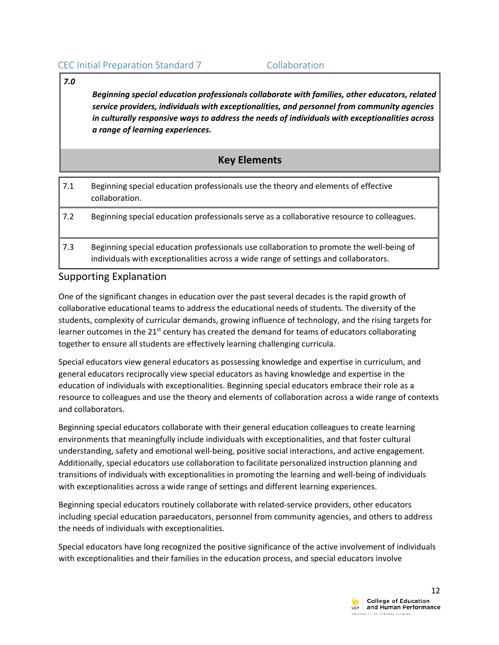#### CEC Initial Preparation Standard 7 Collaboration

#### *7.0*

*Beginning special education professionals collaborate with families, other educators, related service providers, individuals with exceptionalities, and personnel from community agencies in culturally responsive ways to address the needs of individuals with exceptionalities across a range of learning experiences.* 

#### **Key Elements**

- 7.1 Beginning special education professionals use the theory and elements of effective collaboration.
- 7.2 Beginning special education professionals serve as a collaborative resource to colleagues.
- 7.3 Beginning special education professionals use collaboration to promote the well-being of individuals with exceptionalities across a wide range of settings and collaborators.

#### Supporting Explanation

One of the significant changes in education over the past several decades is the rapid growth of collaborative educational teams to address the educational needs of students. The diversity of the students, complexity of curricular demands, growing influence of technology, and the rising targets for learner outcomes in the  $21^{st}$  century has created the demand for teams of educators collaborating together to ensure all students are effectively learning challenging curricula.

Special educators view general educators as possessing knowledge and expertise in curriculum, and general educators reciprocally view special educators as having knowledge and expertise in the education of individuals with exceptionalities. Beginning special educators embrace their role as a resource to colleagues and use the theory and elements of collaboration across a wide range of contexts and collaborators.

Beginning special educators collaborate with their general education colleagues to create learning environments that meaningfully include individuals with exceptionalities, and that foster cultural understanding, safety and emotional well-being, positive social interactions, and active engagement. Additionally, special educators use collaboration to facilitate personalized instruction planning and transitions of individuals with exceptionalities in promoting the learning and well-being of individuals with exceptionalities across a wide range of settings and different learning experiences.

Beginning special educators routinely collaborate with related-service providers, other educators including special education paraeducators, personnel from community agencies, and others to address the needs of individuals with exceptionalities.

Special educators have long recognized the positive significance of the active involvement of individuals with exceptionalities and their families in the education process, and special educators involve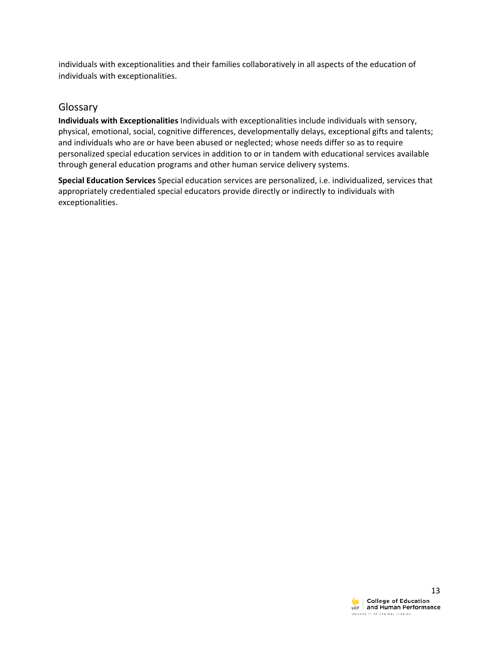individuals with exceptionalities and their families collaboratively in all aspects of the education of individuals with exceptionalities.

#### Glossary

**Individuals with Exceptionalities** Individuals with exceptionalities include individuals with sensory, physical, emotional, social, cognitive differences, developmentally delays, exceptional gifts and talents; and individuals who are or have been abused or neglected; whose needs differ so as to require personalized special education services in addition to or in tandem with educational services available through general education programs and other human service delivery systems.

**Special Education Services** Special education services are personalized, i.e. individualized, services that appropriately credentialed special educators provide directly or indirectly to individuals with exceptionalities.

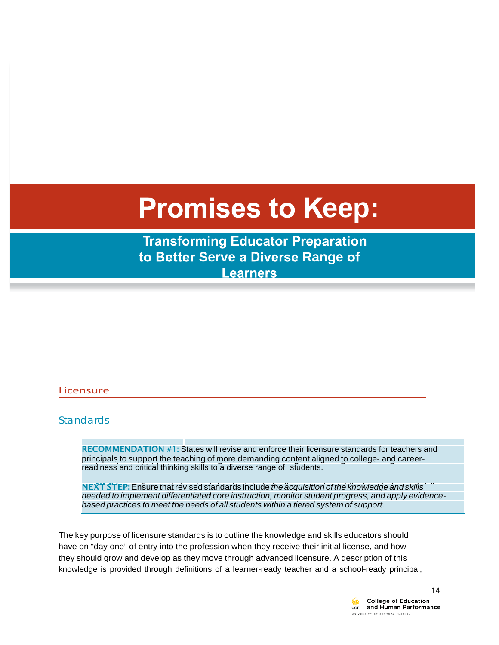# **Promises to Keep:**

## **Transforming Educator Preparation to Better Serve a Diverse Range of Learners**

#### Licensure

#### *Standards*

RECOMMENDATION #1: States will revise and enforce their licensure standards for teachers and 1 principals to support the teaching of more demanding content aligned to college- and principals to support the teaching of more demanding content aligned to college- and careerreadiness and critical thinking skills to a diverse range of students.

NEXT STEP: Ensure that revised standards include the acquisition of the knowledge and skills needed to implement differentiated core instruction, monitor student progress, and apply evidencebased practices to meet the needs of all students within a tiered system of support.

The key purpose of licensure standards is to outline the knowledge and skills educators should have on "day one" of entry into the profession when they receive their initial license, and how they should grow and develop as they move through advanced licensure. A description of this knowledge is provided through definitions of a learner-ready teacher and a school-ready principal,

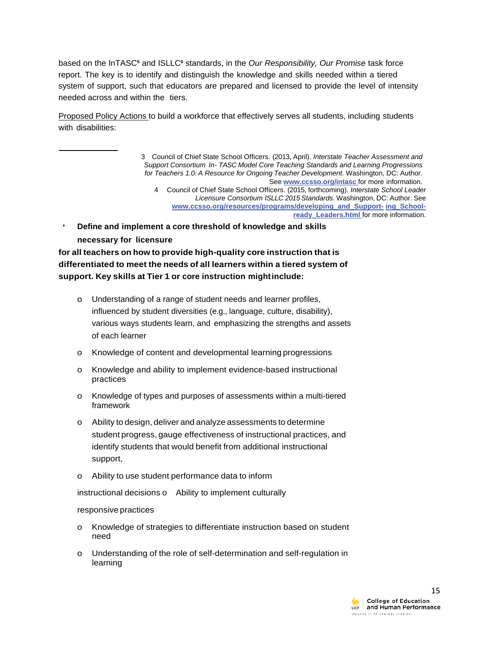based on the InTASC**<sup>5</sup>** and ISLLC**<sup>6</sup>** standards, in the *Our Responsibility, Our Promise* task force report. The key is to identify and distinguish the knowledge and skills needed within a tiered system of support, such that educators are prepared and licensed to provide the level of intensity needed across and within the tiers.

Proposed Policy Actions to build a workforce that effectively serves all students, including students with disabilities:

> 3 Council of Chief State School Officers. (2013, April). *Interstate Teacher Assessment and Support Consortium In- TASC Model Core Teaching Standards and Learning Progressions for Teachers 1.0: A Resource for Ongoing Teacher Development*. Washington, DC: Author. See **[www.ccsso.org/intasc](http://www.ccsso.org/intasc)** for more information. 4 Council of Chief State School Officers. (2015, forthcoming). *Interstate School Leader Licensure Consortium ISLLC 2015 Standards.* Washington, DC: Author. See **[www.ccsso.org/resources/programs/developing\\_and\\_Support-](http://www.ccsso.org/resources/programs/developing_and_Support-) ing\_Schoolready\_Leaders.html** for more information.

▪ **Define and implement a core threshold of knowledge and skills necessary for licensure**

**for all teachers on how to provide high-quality core instruction that is differentiated to meet the needs of all learners within a tiered system of support. Key skills at Tier 1 or core instruction mightinclude:**

- o Understanding of a range of student needs and learner profiles, influenced by student diversities (e.g., language, culture, disability), various ways students learn, and emphasizing the strengths and assets of each learner
- o Knowledge of content and developmental learning progressions
- o Knowledge and ability to implement evidence-based instructional practices
- o Knowledge of types and purposes of assessments within a multi-tiered framework
- o Ability to design, deliver and analyze assessments to determine student progress, gauge effectiveness of instructional practices, and identify students that would benefit from additional instructional support,
- o Ability to use student performance data to inform

instructional decisions o Ability to implement culturally

#### responsive practices

- o Knowledge of strategies to differentiate instruction based on student need
- o Understanding of the role of self-determination and self-regulation in learning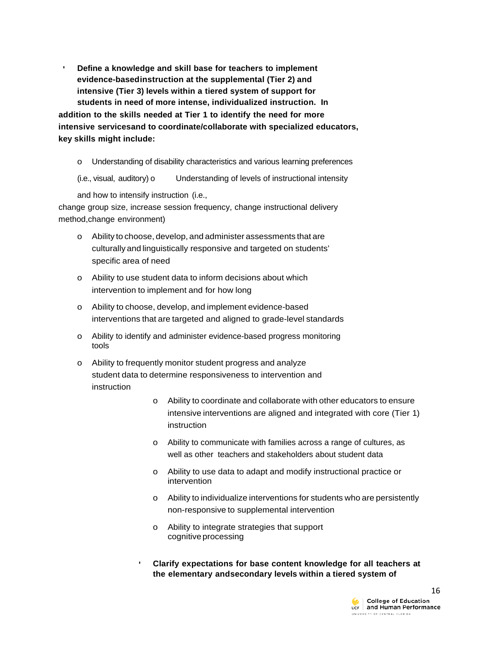▪ **Define a knowledge and skill base for teachers to implement evidence-basedinstruction at the supplemental (Tier 2) and intensive (Tier 3) levels within a tiered system of support for students in need of more intense, individualized instruction. In addition to the skills needed at Tier 1 to identify the need for more intensive servicesand to coordinate/collaborate with specialized educators,** 

#### **key skills might include:**

- o Understanding of disability characteristics and various learning preferences
- (i.e., visual, auditory) o Understanding of levels of instructional intensity

and how to intensify instruction (i.e.,

change group size, increase session frequency, change instructional delivery method,change environment)

- o Ability to choose, develop, and administer assessments that are culturally and linguistically responsive and targeted on students' specific area of need
- o Ability to use student data to inform decisions about which intervention to implement and for how long
- o Ability to choose, develop, and implement evidence-based interventions that are targeted and aligned to grade-level standards
- o Ability to identify and administer evidence-based progress monitoring tools
- o Ability to frequently monitor student progress and analyze student data to determine responsiveness to intervention and instruction
	- o Ability to coordinate and collaborate with other educators to ensure intensive interventions are aligned and integrated with core (Tier 1) instruction
	- o Ability to communicate with families across a range of cultures, as well as other teachers and stakeholders about student data
	- o Ability to use data to adapt and modify instructional practice or intervention
	- o Ability to individualize interventions for students who are persistently non-responsive to supplemental intervention
	- o Ability to integrate strategies that support cognitive processing
	- **Clarify expectations for base content knowledge for all teachers at the elementary andsecondary levels within a tiered system of**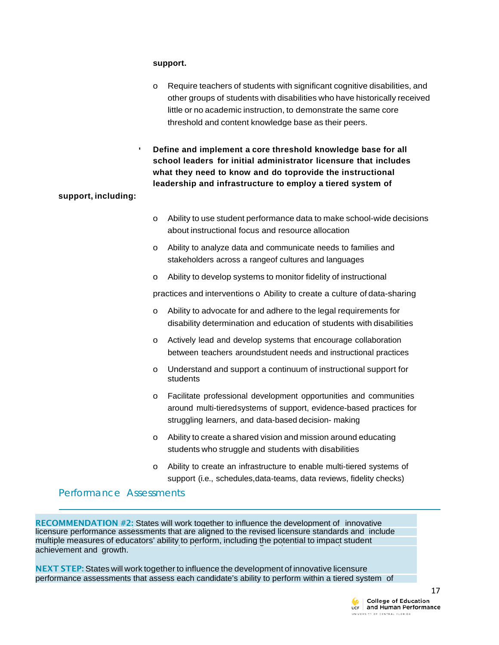#### **support.**

|                          | o                                                                                                                                                                                                                                                           | Require teachers of students with significant cognitive disabilities, and<br>other groups of students with disabilities who have historically received<br>little or no academic instruction, to demonstrate the same core<br>threshold and content knowledge base as their peers. |
|--------------------------|-------------------------------------------------------------------------------------------------------------------------------------------------------------------------------------------------------------------------------------------------------------|-----------------------------------------------------------------------------------------------------------------------------------------------------------------------------------------------------------------------------------------------------------------------------------|
| ٠<br>support, including: | Define and implement a core threshold knowledge base for all<br>school leaders for initial administrator licensure that includes<br>what they need to know and do toprovide the instructional<br>leadership and infrastructure to employ a tiered system of |                                                                                                                                                                                                                                                                                   |
|                          | o                                                                                                                                                                                                                                                           | Ability to use student performance data to make school-wide decisions<br>about instructional focus and resource allocation                                                                                                                                                        |
|                          | о                                                                                                                                                                                                                                                           | Ability to analyze data and communicate needs to families and<br>stakeholders across a rangeof cultures and languages                                                                                                                                                             |
|                          | o                                                                                                                                                                                                                                                           | Ability to develop systems to monitor fidelity of instructional                                                                                                                                                                                                                   |
|                          |                                                                                                                                                                                                                                                             | practices and interventions o Ability to create a culture of data-sharing                                                                                                                                                                                                         |
|                          | o                                                                                                                                                                                                                                                           | Ability to advocate for and adhere to the legal requirements for<br>disability determination and education of students with disabilities                                                                                                                                          |
|                          | o                                                                                                                                                                                                                                                           | Actively lead and develop systems that encourage collaboration<br>between teachers aroundstudent needs and instructional practices                                                                                                                                                |
|                          | o                                                                                                                                                                                                                                                           | Understand and support a continuum of instructional support for<br>students                                                                                                                                                                                                       |
|                          | o                                                                                                                                                                                                                                                           | Facilitate professional development opportunities and communities<br>around multi-tieredsystems of support, evidence-based practices for<br>struggling learners, and data-based decision- making                                                                                  |
|                          | o                                                                                                                                                                                                                                                           | Ability to create a shared vision and mission around educating<br>students who struggle and students with disabilities                                                                                                                                                            |
|                          | o                                                                                                                                                                                                                                                           | Ability to create an infrastructure to enable multi-tiered systems of<br>support (i.e., schedules, data-teams, data reviews, fidelity checks)                                                                                                                                     |

#### *Performance Assessments*

RECOMMENDATION #2: States will work together to influence the development of innovative licensure performance assessments that are aligned to the revised licensure standards and include multiple measures of educators' ability to perform, including the potential to impact student achievement and growth.

NEXT STEP: States will work together to influence the development of innovative licensure performance assessments that assess each candidate's ability to perform within a tiered system of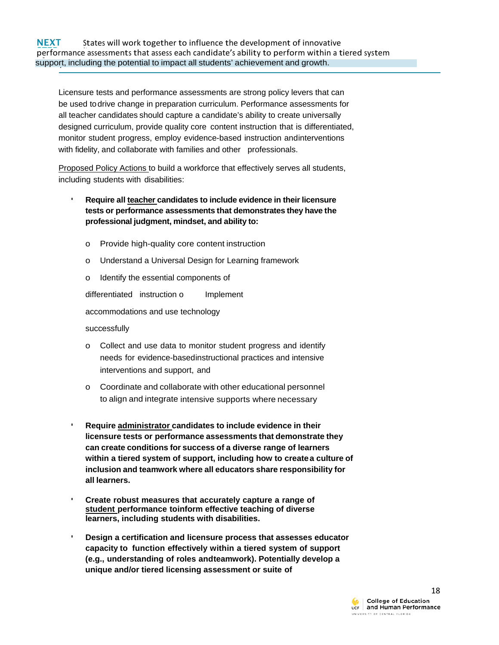**NEXT** performance assessments that assess each candidate's ability to perform within a tiered system States will work together to influence the development of innovative f support, including the potential to impact all students' achievement and support, including the potential toimpact all students' achievement and growth. h

Licensure tests and performance assessments are strong policy levers that can be used todrive change in preparation curriculum. Performance assessments for all teacher candidates should capture a candidate's ability to create universally designed curriculum, provide quality core content instruction that is differentiated, monitor student progress, employ evidence-based instruction andinterventions with fidelity, and collaborate with families and other professionals.

Proposed Policy Actions to build a workforce that effectively serves all students, including students with disabilities:

- **Require all teacher candidates to include evidence in their licensure tests or performance assessments that demonstrates they have the professional judgment, mindset, and ability to:**
	- o Provide high-quality core content instruction
	- o Understand a Universal Design for Learning framework
	- o Identify the essential components of

differentiated instruction o Implement

accommodations and use technology

successfully

- o Collect and use data to monitor student progress and identify needs for evidence-basedinstructional practices and intensive interventions and support, and
- o Coordinate and collaborate with other educational personnel to align and integrate intensive supports where necessary

▪ **Require administrator candidates to include evidence in their licensure tests or performance assessments that demonstrate they can create conditions for success of a diverse range of learners within a tiered system of support, including how to createa culture of inclusion and teamwork where all educators share responsibility for all learners.**

- **Create robust measures that accurately capture a range of student performance toinform effective teaching of diverse learners, including students with disabilities.**
- **Design a certification and licensure process that assesses educator capacity to function effectively within a tiered system of support (e.g., understanding of roles andteamwork). Potentially develop a unique and/or tiered licensing assessment or suite of**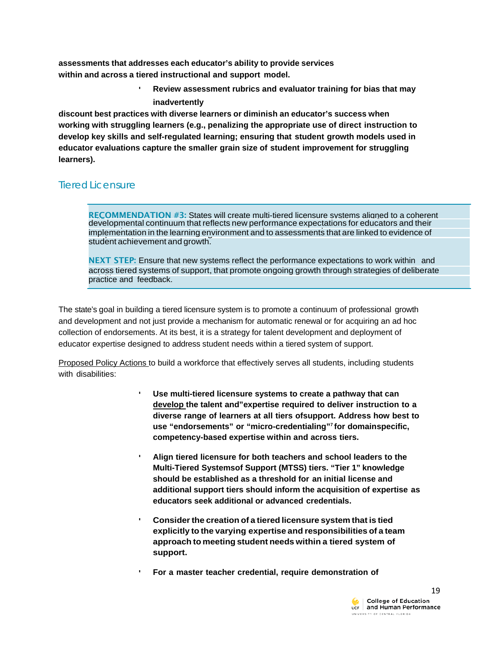**assessments that addresses each educator's ability to provide services within and across a tiered instructional and support model.**

> ▪ **Review assessment rubrics and evaluator training for bias that may inadvertently**

**discount best practices with diverse learners or diminish an educator's success when working with struggling learners (e.g., penalizing the appropriate use of direct instruction to develop key skills and self-regulated learning; ensuring that student growth models used in educator evaluations capture the smaller grain size of student improvement for struggling learners).**

#### *TieredLicensure*

RECOMMENDATION #3: States will create multi-tiered licensure systems aligned to a coherent #3 developmental continuum that reflects new performance expectations for educators and developmental continuum that reflects new performance expectations for educators and their implementation in the learning environment and to assessments that are linked to evidence of f student achievement and student achievement and growth.

NEXT STEP: Ensure that new systems reflect the performance expectations to work within and across tiered systems of support, that promote ongoing growth through strategies of deliberate practice and feedback. f de la posta de la posta de la posta de la posta de la posta de la posta de la posta de la posta de la posta<br>La posta de la posta de la posta de la posta de la posta de la posta de la posta de la posta de la posta de la

The state's goal in building a tiered licensure system is to promote a continuum of professional growth and development and not just provide a mechanism for automatic renewal or for acquiring an ad hoc collection of endorsements. At its best, it is a strategy for talent development and deployment of educator expertise designed to address student needs within a tiered system of support.

Proposed Policy Actions to build a workforce that effectively serves all students, including students with disabilities:

- Use multi-tiered licensure systems to create a pathway that can **develop the talent and"expertise required to deliver instruction to a diverse range of learners at all tiers ofsupport. Address how best to use "endorsements" or "micro-credentialing"7 for domainspecific, competency-based expertise within and across tiers.**
- **Align tiered licensure for both teachers and school leaders to the Multi-Tiered Systemsof Support (MTSS) tiers. "Tier 1" knowledge should be established as a threshold for an initial license and additional support tiers should inform the acquisition of expertise as educators seek additional or advanced credentials.**
- **Considerthe creation of a tiered licensure system that is tied explicitly to the varying expertise and responsibilities of a team approach to meeting student needs within a tiered system of support.**
- **For a master teacher credential, require demonstration of**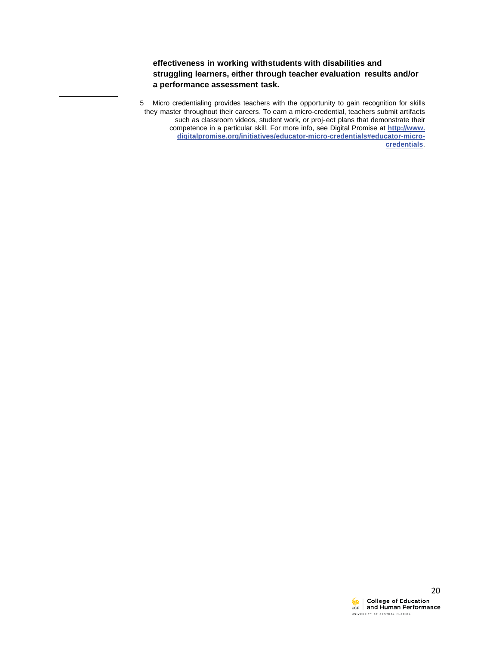**effectiveness in working withstudents with disabilities and struggling learners, either through teacher evaluation results and/or a performance assessment task.**

5 Micro credentialing provides teachers with the opportunity to gain recognition for skills they master throughout their careers. To earn a micro-credential, teachers submit artifacts such as classroom videos, student work, or proj-ect plans that demonstrate their competence in a particular skill. For more info, see Digital Promise at **[http://www.](http://www/) digitalpromise.org/initiatives/educator-micro-credentials#educator-microcredentials**.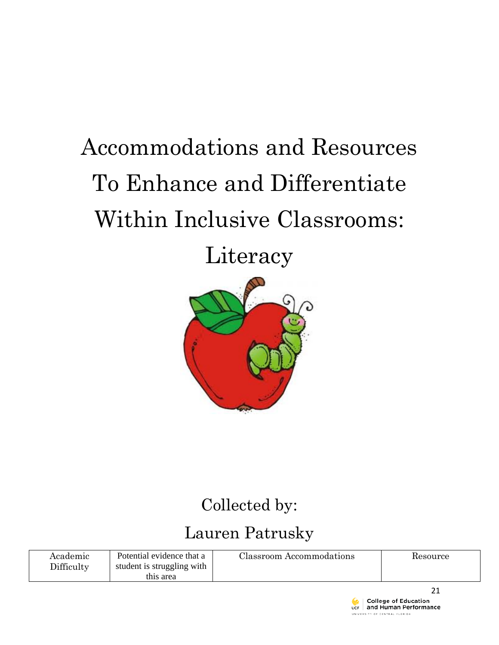# Accommodations and Resources To Enhance and Differentiate Within Inclusive Classrooms:

**Literacy** 



## Collected by:

## Lauren Patrusky

| Academic   | Potential evidence that a  | Classroom Accommodations | <b>Resource</b> |
|------------|----------------------------|--------------------------|-----------------|
| Difficulty | student is struggling with |                          |                 |
|            | thıs area                  |                          |                 |

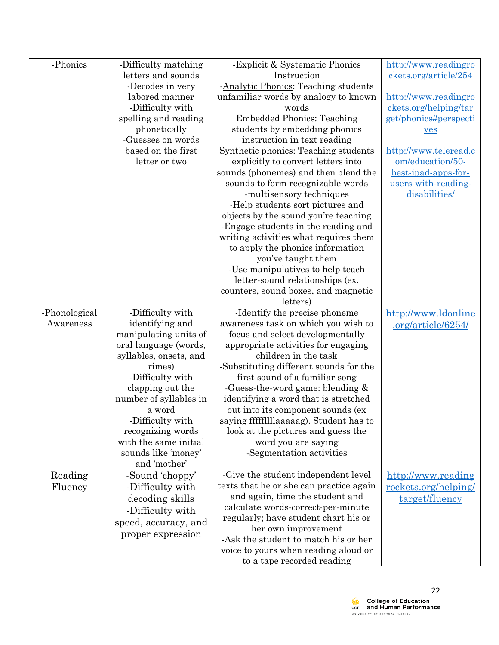| -Phonics      | -Difficulty matching       | -Explicit & Systematic Phonics                                           | http://www.readingro  |
|---------------|----------------------------|--------------------------------------------------------------------------|-----------------------|
|               | letters and sounds         | Instruction                                                              | ckets.org/article/254 |
|               | -Decodes in very           | -Analytic Phonics: Teaching students                                     |                       |
|               | labored manner             | unfamiliar words by analogy to known                                     | http://www.readingro  |
|               | -Difficulty with           | words                                                                    | ckets.org/helping/tar |
|               | spelling and reading       | <b>Embedded Phonics: Teaching</b>                                        | get/phonics#perspecti |
|               | phonetically               | students by embedding phonics                                            | ves                   |
|               | -Guesses on words          | instruction in text reading                                              |                       |
|               | based on the first         | Synthetic phonics: Teaching students                                     | http://www.teleread.c |
|               | letter or two              | explicitly to convert letters into                                       | om/education/50-      |
|               |                            | sounds (phonemes) and then blend the                                     | best-ipad-apps-for-   |
|               |                            | sounds to form recognizable words                                        | users-with-reading-   |
|               |                            | -multisensory techniques                                                 | disabilities/         |
|               |                            | -Help students sort pictures and                                         |                       |
|               |                            | objects by the sound you're teaching                                     |                       |
|               |                            | -Engage students in the reading and                                      |                       |
|               |                            | writing activities what requires them                                    |                       |
|               |                            | to apply the phonics information                                         |                       |
|               |                            | you've taught them                                                       |                       |
|               |                            | -Use manipulatives to help teach                                         |                       |
|               |                            | letter-sound relationships (ex.                                          |                       |
|               |                            | counters, sound boxes, and magnetic                                      |                       |
|               |                            | letters)                                                                 |                       |
| -Phonological | -Difficulty with           | -Identify the precise phoneme                                            | http://www.ldonline   |
| Awareness     | identifying and            | awareness task on which you wish to                                      | .org/article/6254/    |
|               | manipulating units of      | focus and select developmentally                                         |                       |
|               | oral language (words,      | appropriate activities for engaging<br>children in the task              |                       |
|               | syllables, onsets, and     |                                                                          |                       |
|               | rimes)<br>-Difficulty with | -Substituting different sounds for the<br>first sound of a familiar song |                       |
|               | clapping out the           | -Guess-the-word game: blending $&$                                       |                       |
|               | number of syllables in     | identifying a word that is stretched                                     |                       |
|               | a word                     | out into its component sounds (ex                                        |                       |
|               | -Difficulty with           | saying fffffllllaaaaag). Student has to                                  |                       |
|               | recognizing words          | look at the pictures and guess the                                       |                       |
|               | with the same initial      | word you are saying                                                      |                       |
|               | sounds like 'money'        | -Segmentation activities                                                 |                       |
|               | and 'mother'               |                                                                          |                       |
| Reading       | -Sound 'choppy'            | -Give the student independent level                                      | http://www.reading    |
| Fluency       | -Difficulty with           | texts that he or she can practice again                                  | rockets.org/helping/  |
|               | decoding skills            | and again, time the student and                                          | target/fluency        |
|               | -Difficulty with           | calculate words-correct-per-minute                                       |                       |
|               | speed, accuracy, and       | regularly; have student chart his or                                     |                       |
|               |                            | her own improvement                                                      |                       |
|               | proper expression          | -Ask the student to match his or her                                     |                       |
|               |                            | voice to yours when reading aloud or                                     |                       |
|               |                            | to a tape recorded reading                                               |                       |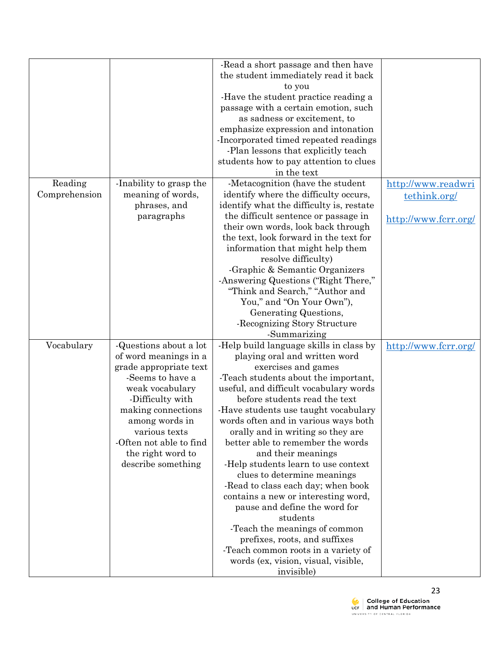|               |                         | -Read a short passage and then have      |                      |
|---------------|-------------------------|------------------------------------------|----------------------|
|               |                         | the student immediately read it back     |                      |
|               |                         |                                          |                      |
|               |                         | to you                                   |                      |
|               |                         | -Have the student practice reading a     |                      |
|               |                         | passage with a certain emotion, such     |                      |
|               |                         | as sadness or excitement, to             |                      |
|               |                         | emphasize expression and intonation      |                      |
|               |                         | -Incorporated timed repeated readings    |                      |
|               |                         | -Plan lessons that explicitly teach      |                      |
|               |                         | students how to pay attention to clues   |                      |
|               |                         | in the text                              |                      |
| Reading       | -Inability to grasp the | -Metacognition (have the student         | http://www.readwri   |
| Comprehension | meaning of words,       | identify where the difficulty occurs,    |                      |
|               |                         |                                          | tethink.org/         |
|               | phrases, and            | identify what the difficulty is, restate |                      |
|               | paragraphs              | the difficult sentence or passage in     | http://www.fcrr.org/ |
|               |                         | their own words, look back through       |                      |
|               |                         | the text, look forward in the text for   |                      |
|               |                         | information that might help them         |                      |
|               |                         | resolve difficulty)                      |                      |
|               |                         | -Graphic & Semantic Organizers           |                      |
|               |                         | -Answering Questions ("Right There,"     |                      |
|               |                         | "Think and Search," "Author and          |                      |
|               |                         | You," and "On Your Own"),                |                      |
|               |                         | Generating Questions,                    |                      |
|               |                         | -Recognizing Story Structure             |                      |
|               |                         |                                          |                      |
|               |                         | -Summarizing                             |                      |
| Vocabulary    | -Questions about a lot  | -Help build language skills in class by  | http://www.fcrr.org/ |
|               | of word meanings in a   | playing oral and written word            |                      |
|               | grade appropriate text  | exercises and games                      |                      |
|               | -Seems to have a        | -Teach students about the important,     |                      |
|               | weak vocabulary         | useful, and difficult vocabulary words   |                      |
|               | -Difficulty with        | before students read the text            |                      |
|               | making connections      | -Have students use taught vocabulary     |                      |
|               | among words in          | words often and in various ways both     |                      |
|               | various texts           | orally and in writing so they are        |                      |
|               | -Often not able to find | better able to remember the words        |                      |
|               | the right word to       | and their meanings                       |                      |
|               | describe something      | -Help students learn to use context      |                      |
|               |                         | clues to determine meanings              |                      |
|               |                         |                                          |                      |
|               |                         | -Read to class each day; when book       |                      |
|               |                         | contains a new or interesting word,      |                      |
|               |                         | pause and define the word for            |                      |
|               |                         | students                                 |                      |
|               |                         | -Teach the meanings of common            |                      |
|               |                         | prefixes, roots, and suffixes            |                      |
|               |                         | -Teach common roots in a variety of      |                      |
|               |                         | words (ex, vision, visual, visible,      |                      |
|               |                         | <i>invisible</i> )                       |                      |

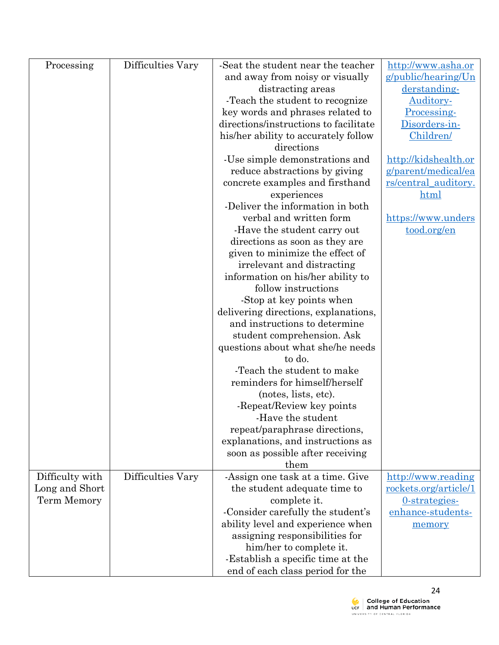| Processing      | Difficulties Vary | -Seat the student near the teacher    | http://www.asha.or    |
|-----------------|-------------------|---------------------------------------|-----------------------|
|                 |                   | and away from noisy or visually       | g/public/hearing/Un   |
|                 |                   | distracting areas                     | derstanding-          |
|                 |                   | -Teach the student to recognize       | Auditory-             |
|                 |                   | key words and phrases related to      | Processing-           |
|                 |                   | directions/instructions to facilitate | Disorders-in-         |
|                 |                   | his/her ability to accurately follow  | Children/             |
|                 |                   | directions                            |                       |
|                 |                   | -Use simple demonstrations and        | http://kidshealth.or  |
|                 |                   | reduce abstractions by giving         | g/parent/medical/ea   |
|                 |                   | concrete examples and firsthand       | rs/central_auditory.  |
|                 |                   | experiences                           | html                  |
|                 |                   | -Deliver the information in both      |                       |
|                 |                   | verbal and written form               | https://www.unders    |
|                 |                   | -Have the student carry out           | tood.org/en           |
|                 |                   | directions as soon as they are        |                       |
|                 |                   | given to minimize the effect of       |                       |
|                 |                   | irrelevant and distracting            |                       |
|                 |                   | information on his/her ability to     |                       |
|                 |                   | follow instructions                   |                       |
|                 |                   | -Stop at key points when              |                       |
|                 |                   | delivering directions, explanations,  |                       |
|                 |                   | and instructions to determine         |                       |
|                 |                   | student comprehension. Ask            |                       |
|                 |                   | questions about what she/he needs     |                       |
|                 |                   | to do.                                |                       |
|                 |                   | -Teach the student to make            |                       |
|                 |                   | reminders for himself/herself         |                       |
|                 |                   | (notes, lists, etc).                  |                       |
|                 |                   | -Repeat/Review key points             |                       |
|                 |                   | -Have the student                     |                       |
|                 |                   | repeat/paraphrase directions,         |                       |
|                 |                   | explanations, and instructions as     |                       |
|                 |                   | soon as possible after receiving      |                       |
|                 |                   | them                                  |                       |
| Difficulty with | Difficulties Vary | -Assign one task at a time. Give      | http://www.reading    |
| Long and Short  |                   | the student adequate time to          | rockets.org/article/1 |
| Term Memory     |                   | complete it.                          | 0-strategies-         |
|                 |                   | -Consider carefully the student's     | enhance-students-     |
|                 |                   | ability level and experience when     | memory                |
|                 |                   | assigning responsibilities for        |                       |
|                 |                   | him/her to complete it.               |                       |
|                 |                   | -Establish a specific time at the     |                       |
|                 |                   | end of each class period for the      |                       |
|                 |                   |                                       |                       |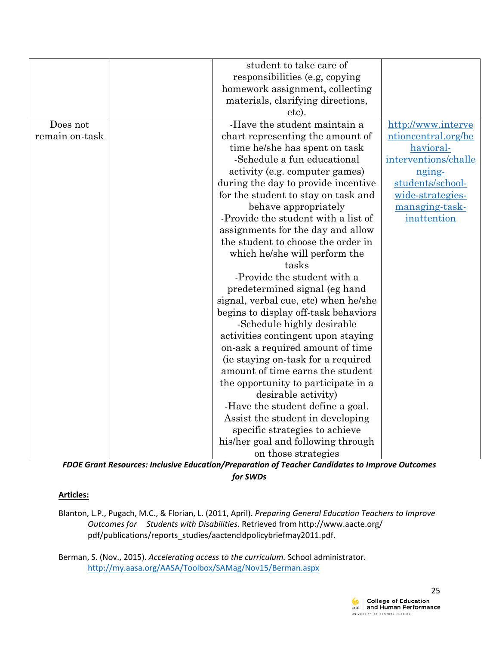|                | student to take care of              |                      |
|----------------|--------------------------------------|----------------------|
|                | responsibilities (e.g. copying       |                      |
|                | homework assignment, collecting      |                      |
|                | materials, clarifying directions,    |                      |
|                | etc).                                |                      |
| Does not       | -Have the student maintain a         | http://www.interve   |
| remain on-task | chart representing the amount of     | ntioncentral.org/be  |
|                | time he/she has spent on task        | havioral-            |
|                | -Schedule a fun educational          | interventions/challe |
|                | activity (e.g. computer games)       | nging-               |
|                | during the day to provide incentive  | students/school-     |
|                | for the student to stay on task and  | wide-strategies-     |
|                | behave appropriately                 | managing-task-       |
|                | -Provide the student with a list of  | inattention          |
|                | assignments for the day and allow    |                      |
|                | the student to choose the order in   |                      |
|                | which he/she will perform the        |                      |
|                | tasks                                |                      |
|                | -Provide the student with a          |                      |
|                | predetermined signal (eg hand        |                      |
|                | signal, verbal cue, etc) when he/she |                      |
|                | begins to display off-task behaviors |                      |
|                | -Schedule highly desirable           |                      |
|                | activities contingent upon staying   |                      |
|                | on-ask a required amount of time     |                      |
|                | (ie staying on-task for a required   |                      |
|                | amount of time earns the student     |                      |
|                | the opportunity to participate in a  |                      |
|                | desirable activity)                  |                      |
|                | -Have the student define a goal.     |                      |
|                | Assist the student in developing     |                      |
|                | specific strategies to achieve       |                      |
|                | his/her goal and following through   |                      |
|                | on those strategies                  |                      |

*FDOE Grant Resources: Inclusive Education/Preparation of Teacher Candidates to Improve Outcomes for SWDs*

#### **Articles:**

- Blanton, L.P., Pugach, M.C., & Florian, L. (2011, April). *Preparing General Education Teachers to Improve Outcomes for Students with Disabilities*. Retrieved from http://www.aacte.org/ pdf/publications/reports\_studies/aactencldpolicybriefmay2011.pdf.
- Berman, S. (Nov., 2015). *Accelerating access to the curriculum.* School administrator. <http://my.aasa.org/AASA/Toolbox/SAMag/Nov15/Berman.aspx>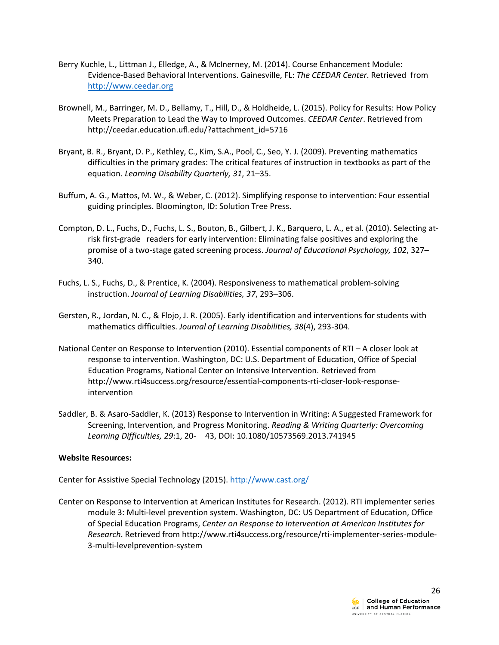- Berry Kuchle, L., Littman J., Elledge, A., & McInerney, M. (2014). Course Enhancement Module: Evidence-Based Behavioral Interventions. Gainesville, FL: *The CEEDAR Center*. Retrieved from [http://www.ceedar.org](http://www.ceedar.org/)
- Brownell, M., Barringer, M. D., Bellamy, T., Hill, D., & Holdheide, L. (2015). Policy for Results: How Policy Meets Preparation to Lead the Way to Improved Outcomes. *CEEDAR Center*. Retrieved from http://ceedar.education.ufl.edu/?attachment\_id=5716
- Bryant, B. R., Bryant, D. P., Kethley, C., Kim, S.A., Pool, C., Seo, Y. J. (2009). Preventing mathematics difficulties in the primary grades: The critical features of instruction in textbooks as part of the equation. *Learning Disability Quarterly, 31*, 21–35.
- Buffum, A. G., Mattos, M. W., & Weber, C. (2012). Simplifying response to intervention: Four essential guiding principles. Bloomington, ID: Solution Tree Press.
- Compton, D. L., Fuchs, D., Fuchs, L. S., Bouton, B., Gilbert, J. K., Barquero, L. A., et al. (2010). Selecting atrisk first-grade readers for early intervention: Eliminating false positives and exploring the promise of a two-stage gated screening process. *Journal of Educational Psychology, 102*, 327– 340.
- Fuchs, L. S., Fuchs, D., & Prentice, K. (2004). Responsiveness to mathematical problem-solving instruction. *Journal of Learning Disabilities, 37*, 293–306.
- Gersten, R., Jordan, N. C., & Flojo, J. R. (2005). Early identification and interventions for students with mathematics difficulties. *Journal of Learning Disabilities, 38*(4), 293-304.
- National Center on Response to Intervention (2010). Essential components of RTI A closer look at response to intervention. Washington, DC: U.S. Department of Education, Office of Special Education Programs, National Center on Intensive Intervention. Retrieved from http://www.rti4success.org/resource/essential-components-rti-closer-look-responseintervention
- Saddler, B. & Asaro-Saddler, K. (2013) Response to Intervention in Writing: A Suggested Framework for Screening, Intervention, and Progress Monitoring. *Reading & Writing Quarterly: Overcoming Learning Difficulties, 29*:1, 20- 43, DOI: 10.1080/10573569.2013.741945

#### **Website Resources:**

Center for Assistive Special Technology (2015)[. http://www.cast.org/](http://www.cast.org/)

Center on Response to Intervention at American Institutes for Research. (2012). RTI implementer series module 3: Multi-level prevention system. Washington, DC: US Department of Education, Office of Special Education Programs, *Center on Response to Intervention at American Institutes for Research*. Retrieved from http://www.rti4success.org/resource/rti-implementer-series-module-3-multi-levelprevention-system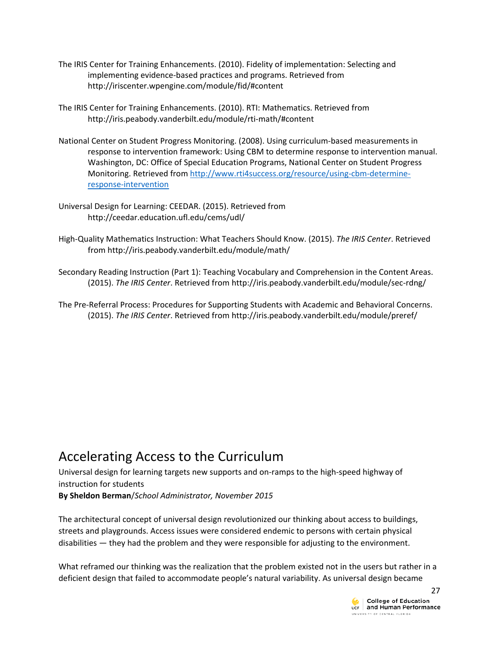- The IRIS Center for Training Enhancements. (2010). Fidelity of implementation: Selecting and implementing evidence-based practices and programs. Retrieved from http://iriscenter.wpengine.com/module/fid/#content
- The IRIS Center for Training Enhancements. (2010). RTI: Mathematics. Retrieved from http://iris.peabody.vanderbilt.edu/module/rti-math/#content
- National Center on Student Progress Monitoring. (2008). Using curriculum-based measurements in response to intervention framework: Using CBM to determine response to intervention manual. Washington, DC: Office of Special Education Programs, National Center on Student Progress Monitoring. Retrieved from [http://www.rti4success.org/resource/using-cbm-determine](http://www.rti4success.org/resource/using-cbm-determine-response-intervention)[response-intervention](http://www.rti4success.org/resource/using-cbm-determine-response-intervention)
- Universal Design for Learning: CEEDAR. (2015). Retrieved from http://ceedar.education.ufl.edu/cems/udl/
- High-Quality Mathematics Instruction: What Teachers Should Know. (2015). *The IRIS Center*. Retrieved from http://iris.peabody.vanderbilt.edu/module/math/
- Secondary Reading Instruction (Part 1): Teaching Vocabulary and Comprehension in the Content Areas. (2015). *The IRIS Center*. Retrieved from http://iris.peabody.vanderbilt.edu/module/sec-rdng/
- The Pre-Referral Process: Procedures for Supporting Students with Academic and Behavioral Concerns. (2015). *The IRIS Center*. Retrieved from http://iris.peabody.vanderbilt.edu/module/preref/

## Accelerating Access to the Curriculum

Universal design for learning targets new supports and on-ramps to the high-speed highway of instruction for students

**By Sheldon Berman**/*School Administrator, November 2015*

The architectural concept of universal design revolutionized our thinking about access to buildings, streets and playgrounds. Access issues were considered endemic to persons with certain physical disabilities — they had the problem and they were responsible for adjusting to the environment.

What reframed our thinking was the realization that the problem existed not in the users but rather in a deficient design that failed to accommodate people's natural variability. As universal design became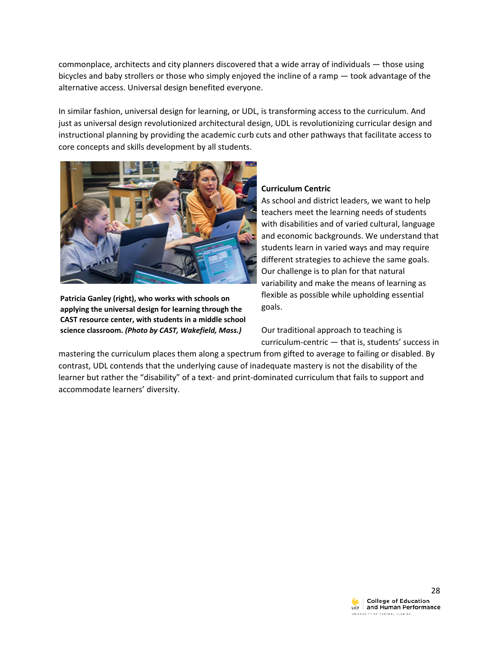commonplace, architects and city planners discovered that a wide array of individuals — those using bicycles and baby strollers or those who simply enjoyed the incline of a ramp — took advantage of the alternative access. Universal design benefited everyone.

In similar fashion, universal design for learning, or UDL, is transforming access to the curriculum. And just as universal design revolutionized architectural design, UDL is revolutionizing curricular design and instructional planning by providing the academic curb cuts and other pathways that facilitate access to core concepts and skills development by all students.



**Patricia Ganley (right), who works with schools on applying the universal design for learning through the CAST resource center, with students in a middle school science classroom.** *(Photo by CAST, Wakefield, Mass.)*

#### **Curriculum Centric**

As school and district leaders, we want to help teachers meet the learning needs of students with disabilities and of varied cultural, language and economic backgrounds. We understand that students learn in varied ways and may require different strategies to achieve the same goals. Our challenge is to plan for that natural variability and make the means of learning as flexible as possible while upholding essential goals.

Our traditional approach to teaching is curriculum-centric — that is, students' success in

mastering the curriculum places them along a spectrum from gifted to average to failing or disabled. By contrast, UDL contends that the underlying cause of inadequate mastery is not the disability of the learner but rather the "disability" of a text- and print-dominated curriculum that fails to support and accommodate learners' diversity.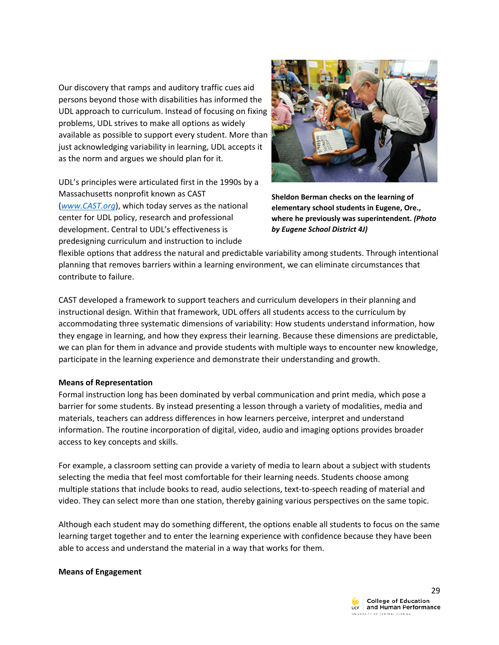Our discovery that ramps and auditory traffic cues aid persons beyond those with disabilities has informed the UDL approach to curriculum. Instead of focusing on fixing problems, UDL strives to make all options as widely available as possible to support every student. More than just acknowledging variability in learning, UDL accepts it as the norm and argues we should plan for it.

UDL's principles were articulated first in the 1990s by a Massachusetts nonprofit known as CAST (*[www.CAST.org](http://www.cast.org/)*), which today serves as the national center for UDL policy, research and professional development. Central to UDL's effectiveness is predesigning curriculum and instruction to include



**Sheldon Berman checks on the learning of elementary school students in Eugene, Ore., where he previously was superintendent.** *(Photo by Eugene School District 4J)*

flexible options that address the natural and predictable variability among students. Through intentional planning that removes barriers within a learning environment, we can eliminate circumstances that contribute to failure.

CAST developed a framework to support teachers and curriculum developers in their planning and instructional design. Within that framework, UDL offers all students access to the curriculum by accommodating three systematic dimensions of variability: How students understand information, how they engage in learning, and how they express their learning. Because these dimensions are predictable, we can plan for them in advance and provide students with multiple ways to encounter new knowledge, participate in the learning experience and demonstrate their understanding and growth.

#### **Means of Representation**

Formal instruction long has been dominated by verbal communication and print media, which pose a barrier for some students. By instead presenting a lesson through a variety of modalities, media and materials, teachers can address differences in how learners perceive, interpret and understand information. The routine incorporation of digital, video, audio and imaging options provides broader access to key concepts and skills.

For example, a classroom setting can provide a variety of media to learn about a subject with students selecting the media that feel most comfortable for their learning needs. Students choose among multiple stations that include books to read, audio selections, text-to-speech reading of material and video. They can select more than one station, thereby gaining various perspectives on the same topic.

Although each student may do something different, the options enable all students to focus on the same learning target together and to enter the learning experience with confidence because they have been able to access and understand the material in a way that works for them.

#### **Means of Engagement**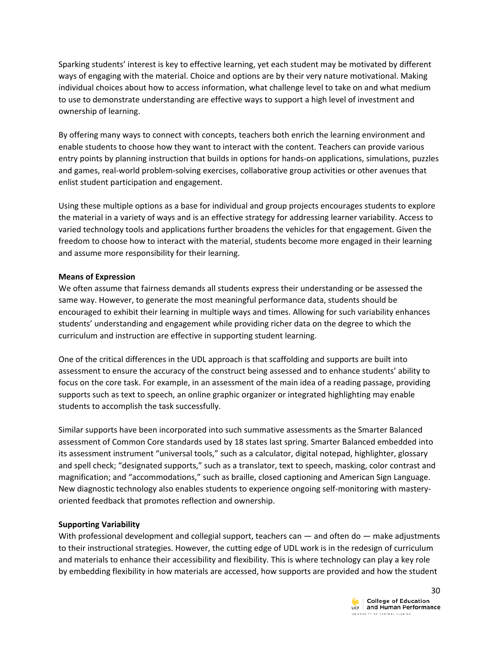Sparking students' interest is key to effective learning, yet each student may be motivated by different ways of engaging with the material. Choice and options are by their very nature motivational. Making individual choices about how to access information, what challenge level to take on and what medium to use to demonstrate understanding are effective ways to support a high level of investment and ownership of learning.

By offering many ways to connect with concepts, teachers both enrich the learning environment and enable students to choose how they want to interact with the content. Teachers can provide various entry points by planning instruction that builds in options for hands-on applications, simulations, puzzles and games, real-world problem-solving exercises, collaborative group activities or other avenues that enlist student participation and engagement.

Using these multiple options as a base for individual and group projects encourages students to explore the material in a variety of ways and is an effective strategy for addressing learner variability. Access to varied technology tools and applications further broadens the vehicles for that engagement. Given the freedom to choose how to interact with the material, students become more engaged in their learning and assume more responsibility for their learning.

#### **Means of Expression**

We often assume that fairness demands all students express their understanding or be assessed the same way. However, to generate the most meaningful performance data, students should be encouraged to exhibit their learning in multiple ways and times. Allowing for such variability enhances students' understanding and engagement while providing richer data on the degree to which the curriculum and instruction are effective in supporting student learning.

One of the critical differences in the UDL approach is that scaffolding and supports are built into assessment to ensure the accuracy of the construct being assessed and to enhance students' ability to focus on the core task. For example, in an assessment of the main idea of a reading passage, providing supports such as text to speech, an online graphic organizer or integrated highlighting may enable students to accomplish the task successfully.

Similar supports have been incorporated into such summative assessments as the Smarter Balanced assessment of Common Core standards used by 18 states last spring. Smarter Balanced embedded into its assessment instrument "universal tools," such as a calculator, digital notepad, highlighter, glossary and spell check; "designated supports," such as a translator, text to speech, masking, color contrast and magnification; and "accommodations," such as braille, closed captioning and American Sign Language. New diagnostic technology also enables students to experience ongoing self-monitoring with masteryoriented feedback that promotes reflection and ownership.

#### **Supporting Variability**

With professional development and collegial support, teachers can — and often do — make adjustments to their instructional strategies. However, the cutting edge of UDL work is in the redesign of curriculum and materials to enhance their accessibility and flexibility. This is where technology can play a key role by embedding flexibility in how materials are accessed, how supports are provided and how the student